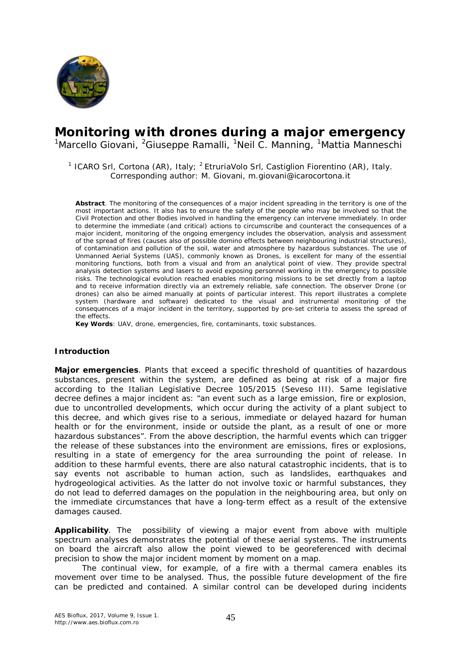

# **Monitoring with drones during a major emergency**

<sup>1</sup>Marcello Giovani, <sup>2</sup>Giuseppe Ramalli, <sup>1</sup>Neil C. Manning, <sup>1</sup>Mattia Manneschi

<sup>1</sup> ICARO Srl, Cortona (AR), Italy; <sup>2</sup> EtruriaVolo Srl, Castiglion Fiorentino (AR), Italy. Corresponding author: M. Giovani, m.giovani@icarocortona.it

**Abstract**. The monitoring of the consequences of a major incident spreading in the territory is one of the most important actions. It also has to ensure the safety of the people who may be involved so that the Civil Protection and other Bodies involved in handling the emergency can intervene immediately. In order to determine the immediate (and critical) actions to circumscribe and counteract the consequences of a major incident, monitoring of the ongoing emergency includes the observation, analysis and assessment of the spread of fires (causes also of possible domino effects between neighbouring industrial structures), of contamination and pollution of the soil, water and atmosphere by hazardous substances. The use of Unmanned Aerial Systems (UAS), commonly known as Drones, is excellent for many of the essential monitoring functions, both from a visual and from an analytical point of view. They provide spectral analysis detection systems and lasers to avoid exposing personnel working in the emergency to possible risks. The technological evolution reached enables monitoring missions to be set directly from a laptop and to receive information directly via an extremely reliable, safe connection. The observer Drone (or drones) can also be aimed manually at points of particular interest. This report illustrates a complete system (hardware and software) dedicated to the visual and instrumental monitoring of the consequences of a major incident in the territory, supported by pre-set criteria to assess the spread of the effects.

**Key Words**: UAV, drone, emergencies, fire, contaminants, toxic substances.

## **Introduction**

*Major emergencies.* Plants that exceed a specific threshold of quantities of hazardous substances, present within the system, are defined as being at risk of a major fire according to the Italian Legislative Decree 105/2015 (Seveso III). Same legislative decree defines a major incident as: "an event such as a large emission, fire or explosion, due to uncontrolled developments, which occur during the activity of a plant subject to this decree, and which gives rise to a serious, immediate or delayed hazard for human health or for the environment, inside or outside the plant, as a result of one or more hazardous substances". From the above description, the harmful events which can trigger the release of these substances into the environment are emissions, fires or explosions, resulting in a state of emergency for the area surrounding the point of release. In addition to these harmful events, there are also natural catastrophic incidents, that is to say events not ascribable to human action, such as landslides, earthquakes and hydrogeological activities. As the latter do not involve toxic or harmful substances, they do not lead to deferred damages on the population in the neighbouring area, but only on the immediate circumstances that have a long-term effect as a result of the extensive damages caused.

*Applicability.* The possibility of viewing a major event from above with multiple spectrum analyses demonstrates the potential of these aerial systems. The instruments on board the aircraft also allow the point viewed to be georeferenced with decimal precision to show the major incident moment by moment on a map.

The continual view, for example, of a fire with a thermal camera enables its movement over time to be analysed. Thus, the possible future development of the fire can be predicted and contained. A similar control can be developed during incidents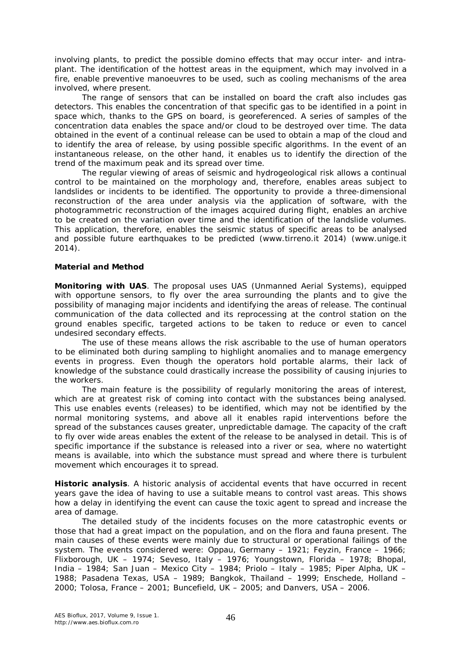involving plants, to predict the possible domino effects that may occur inter- and intraplant. The identification of the hottest areas in the equipment, which may involved in a fire, enable preventive manoeuvres to be used, such as cooling mechanisms of the area involved, where present.

The range of sensors that can be installed on board the craft also includes gas detectors. This enables the concentration of that specific gas to be identified in a point in space which, thanks to the GPS on board, is georeferenced. A series of samples of the concentration data enables the space and/or cloud to be destroyed over time. The data obtained in the event of a continual release can be used to obtain a map of the cloud and to identify the area of release, by using possible specific algorithms. In the event of an instantaneous release, on the other hand, it enables us to identify the direction of the trend of the maximum peak and its spread over time.

The regular viewing of areas of seismic and hydrogeological risk allows a continual control to be maintained on the morphology and, therefore, enables areas subject to landslides or incidents to be identified. The opportunity to provide a three-dimensional reconstruction of the area under analysis via the application of software, with the photogrammetric reconstruction of the images acquired during flight, enables an archive to be created on the variation over time and the identification of the landslide volumes. This application, therefore, enables the seismic status of specific areas to be analysed and possible future earthquakes to be predicted (www.tirreno.it 2014) (www.unige.it 2014).

## **Material and Method**

*Monitoring with UAS*. The proposal uses UAS (Unmanned Aerial Systems), equipped with opportune sensors, to fly over the area surrounding the plants and to give the possibility of managing major incidents and identifying the areas of release. The continual communication of the data collected and its reprocessing at the control station on the ground enables specific, targeted actions to be taken to reduce or even to cancel undesired secondary effects.

The use of these means allows the risk ascribable to the use of human operators to be eliminated both during sampling to highlight anomalies and to manage emergency events in progress. Even though the operators hold portable alarms, their lack of knowledge of the substance could drastically increase the possibility of causing injuries to the workers.

The main feature is the possibility of regularly monitoring the areas of interest, which are at greatest risk of coming into contact with the substances being analysed. This use enables events (releases) to be identified, which may not be identified by the normal monitoring systems, and above all it enables rapid interventions before the spread of the substances causes greater, unpredictable damage. The capacity of the craft to fly over wide areas enables the extent of the release to be analysed in detail. This is of specific importance if the substance is released into a river or sea, where no watertight means is available, into which the substance must spread and where there is turbulent movement which encourages it to spread.

*Historic analysis.* A historic analysis of accidental events that have occurred in recent years gave the idea of having to use a suitable means to control vast areas. This shows how a delay in identifying the event can cause the toxic agent to spread and increase the area of damage.

The detailed study of the incidents focuses on the more catastrophic events or those that had a great impact on the population, and on the flora and fauna present. The main causes of these events were mainly due to structural or operational failings of the system. The events considered were: Oppau, Germany  $-$  1921; Feyzin, France  $-$  1966; Flixborough, UK – 1974; Seveso, Italy – 1976; Youngstown, Florida – 1978; Bhopal, India – 1984; San Juan – Mexico City – 1984; Priolo – Italy – 1985; Piper Alpha, UK – 1988; Pasadena Texas, USA – 1989; Bangkok, Thailand – 1999; Enschede, Holland – 2000; Tolosa, France – 2001; Buncefield, UK – 2005; and Danvers, USA – 2006.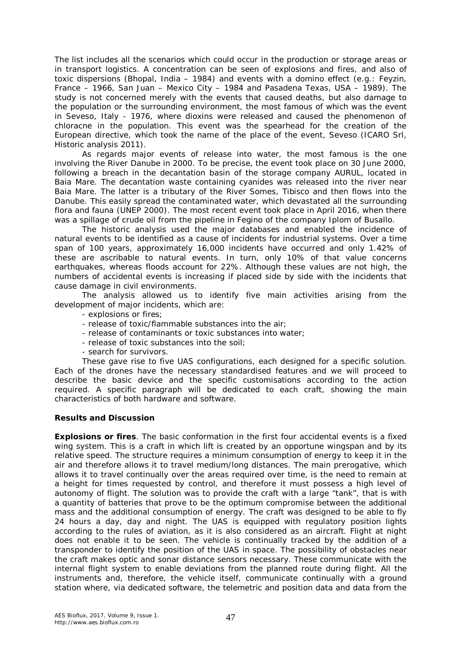The list includes all the scenarios which could occur in the production or storage areas or in transport logistics. A concentration can be seen of explosions and fires, and also of toxic dispersions (Bhopal, India – 1984) and events with a domino effect (e.g.: Feyzin, France – 1966, San Juan – Mexico City – 1984 and Pasadena Texas, USA – 1989). The study is not concerned merely with the events that caused deaths, but also damage to the population or the surrounding environment, the most famous of which was the event in Seveso, Italy - 1976, where dioxins were released and caused the phenomenon of chloracne in the population. This event was the spearhead for the creation of the European directive, which took the name of the place of the event, Seveso (ICARO Srl, Historic analysis 2011).

As regards major events of release into water, the most famous is the one involving the River Danube in 2000. To be precise, the event took place on 30 June 2000, following a breach in the decantation basin of the storage company AURUL, located in Baia Mare. The decantation waste containing cyanides was released into the river near Baia Mare. The latter is a tributary of the River Somes, Tibisco and then flows into the Danube. This easily spread the contaminated water, which devastated all the surrounding flora and fauna (UNEP 2000). The most recent event took place in April 2016, when there was a spillage of crude oil from the pipeline in Fegino of the company Iplom of Busallo.

The historic analysis used the major databases and enabled the incidence of natural events to be identified as a cause of incidents for industrial systems. Over a time span of 100 years, approximately 16,000 incidents have occurred and only 1.42% of these are ascribable to natural events. In turn, only 10% of that value concerns earthquakes, whereas floods account for 22%. Although these values are not high, the numbers of accidental events is increasing if placed side by side with the incidents that cause damage in civil environments.

The analysis allowed us to identify five main activities arising from the development of major incidents, which are:

- explosions or fires;
- release of toxic/flammable substances into the air;
- release of contaminants or toxic substances into water;
- release of toxic substances into the soil;
- search for survivors.

These gave rise to five UAS configurations, each designed for a specific solution. Each of the drones have the necessary standardised features and we will proceed to describe the basic device and the specific customisations according to the action required. A specific paragraph will be dedicated to each craft, showing the main characteristics of both hardware and software.

## **Results and Discussion**

*Explosions or fires.* The basic conformation in the first four accidental events is a fixed wing system. This is a craft in which lift is created by an opportune wingspan and by its relative speed. The structure requires a minimum consumption of energy to keep it in the air and therefore allows it to travel medium/long distances. The main prerogative, which allows it to travel continually over the areas required over time, is the need to remain at a height for times requested by control, and therefore it must possess a high level of autonomy of flight. The solution was to provide the craft with a large "tank", that is with a quantity of batteries that prove to be the optimum compromise between the additional mass and the additional consumption of energy. The craft was designed to be able to fly 24 hours a day, day and night. The UAS is equipped with regulatory position lights according to the rules of aviation, as it is also considered as an aircraft. Flight at night does not enable it to be seen. The vehicle is continually tracked by the addition of a transponder to identify the position of the UAS in space. The possibility of obstacles near the craft makes optic and sonar distance sensors necessary. These communicate with the internal flight system to enable deviations from the planned route during flight. All the instruments and, therefore, the vehicle itself, communicate continually with a ground station where, via dedicated software, the telemetric and position data and data from the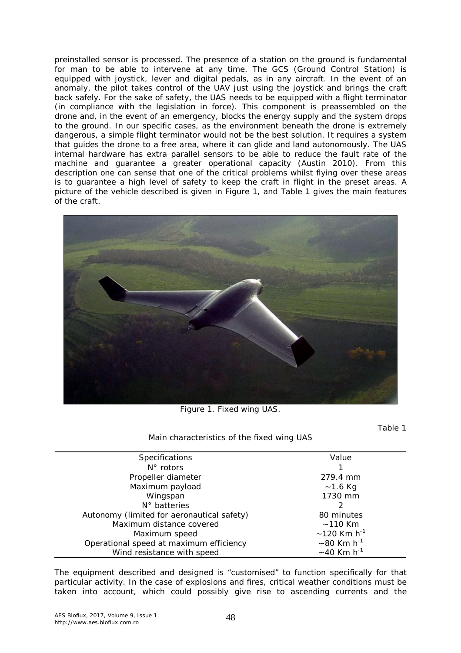preinstalled sensor is processed. The presence of a station on the ground is fundamental for man to be able to intervene at any time. The GCS (Ground Control Station) is equipped with joystick, lever and digital pedals, as in any aircraft. In the event of an anomaly, the pilot takes control of the UAV just using the joystick and brings the craft back safely. For the sake of safety, the UAS needs to be equipped with a flight terminator (in compliance with the legislation in force). This component is preassembled on the drone and, in the event of an emergency, blocks the energy supply and the system drops to the ground. In our specific cases, as the environment beneath the drone is extremely dangerous, a simple flight terminator would not be the best solution. It requires a system that guides the drone to a free area, where it can glide and land autonomously. The UAS internal hardware has extra parallel sensors to be able to reduce the fault rate of the machine and guarantee a greater operational capacity (Austin 2010). From this description one can sense that one of the critical problems whilst flying over these areas is to guarantee a high level of safety to keep the craft in flight in the preset areas. A picture of the vehicle described is given in Figure 1, and Table 1 gives the main features of the craft.



Figure 1. Fixed wing UAS.

Main characteristics of the fixed wing UAS

Table 1

| <b>Specifications</b>                      | Value                         |
|--------------------------------------------|-------------------------------|
| $N^{\circ}$ rotors                         |                               |
| Propeller diameter                         | 279.4 mm                      |
| Maximum payload                            | $~1.6$ Kg                     |
| Wingspan                                   | 1730 mm                       |
| $N^{\circ}$ batteries                      |                               |
| Autonomy (limited for aeronautical safety) | 80 minutes                    |
| Maximum distance covered                   | $~110$ Km                     |
| Maximum speed                              | $\sim$ 120 Km h <sup>-1</sup> |
| Operational speed at maximum efficiency    | $\sim$ 80 Km h <sup>-1</sup>  |
| Wind resistance with speed                 | $~1$ -40 Km h <sup>-1</sup>   |

The equipment described and designed is "customised" to function specifically for that particular activity. In the case of explosions and fires, critical weather conditions must be taken into account, which could possibly give rise to ascending currents and the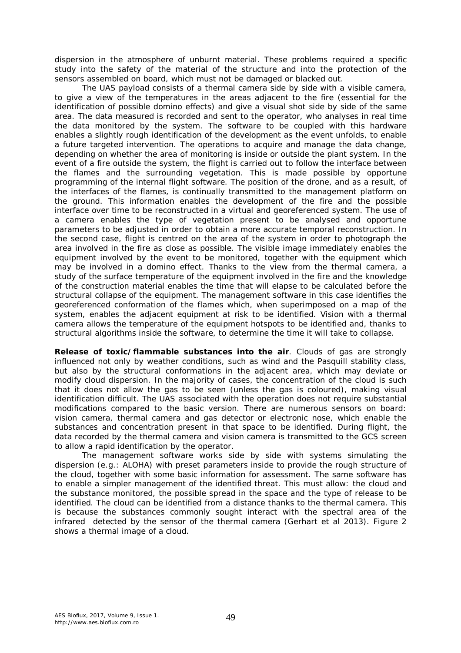dispersion in the atmosphere of unburnt material. These problems required a specific study into the safety of the material of the structure and into the protection of the sensors assembled on board, which must not be damaged or blacked out.

The UAS payload consists of a thermal camera side by side with a visible camera, to give a view of the temperatures in the areas adjacent to the fire (essential for the identification of possible domino effects) and give a visual shot side by side of the same area. The data measured is recorded and sent to the operator, who analyses in real time the data monitored by the system. The software to be coupled with this hardware enables a slightly rough identification of the development as the event unfolds, to enable a future targeted intervention. The operations to acquire and manage the data change, depending on whether the area of monitoring is inside or outside the plant system. In the event of a fire outside the system, the flight is carried out to follow the interface between the flames and the surrounding vegetation. This is made possible by opportune programming of the internal flight software. The position of the drone, and as a result, of the interfaces of the flames, is continually transmitted to the management platform on the ground. This information enables the development of the fire and the possible interface over time to be reconstructed in a virtual and georeferenced system. The use of a camera enables the type of vegetation present to be analysed and opportune parameters to be adjusted in order to obtain a more accurate temporal reconstruction. In the second case, flight is centred on the area of the system in order to photograph the area involved in the fire as close as possible. The visible image immediately enables the equipment involved by the event to be monitored, together with the equipment which may be involved in a domino effect. Thanks to the view from the thermal camera, a study of the surface temperature of the equipment involved in the fire and the knowledge of the construction material enables the time that will elapse to be calculated before the structural collapse of the equipment. The management software in this case identifies the georeferenced conformation of the flames which, when superimposed on a map of the system, enables the adjacent equipment at risk to be identified. Vision with a thermal camera allows the temperature of the equipment hotspots to be identified and, thanks to structural algorithms inside the software, to determine the time it will take to collapse.

*Release of toxic/flammable substances into the air.* Clouds of gas are strongly influenced not only by weather conditions, such as wind and the Pasquill stability class, but also by the structural conformations in the adjacent area, which may deviate or modify cloud dispersion. In the majority of cases, the concentration of the cloud is such that it does not allow the gas to be seen (unless the gas is coloured), making visual identification difficult. The UAS associated with the operation does not require substantial modifications compared to the basic version. There are numerous sensors on board: vision camera, thermal camera and gas detector or electronic nose, which enable the substances and concentration present in that space to be identified. During flight, the data recorded by the thermal camera and vision camera is transmitted to the GCS screen to allow a rapid identification by the operator.

The management software works side by side with systems simulating the dispersion (e.g.: ALOHA) with preset parameters inside to provide the rough structure of the cloud, together with some basic information for assessment. The same software has to enable a simpler management of the identified threat. This must allow: the cloud and the substance monitored, the possible spread in the space and the type of release to be identified. The cloud can be identified from a distance thanks to the thermal camera. This is because the substances commonly sought interact with the spectral area of the infrared detected by the sensor of the thermal camera (Gerhart et al 2013). Figure 2 shows a thermal image of a cloud.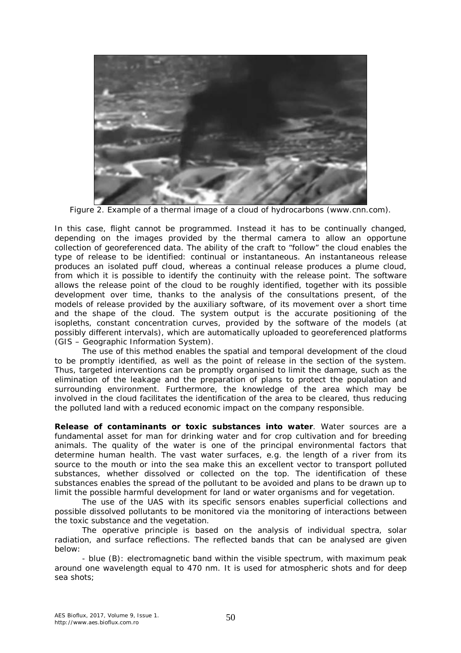

Figure 2. Example of a thermal image of a cloud of hydrocarbons (www.cnn.com).

In this case, flight cannot be programmed. Instead it has to be continually changed, depending on the images provided by the thermal camera to allow an opportune collection of georeferenced data. The ability of the craft to "follow" the cloud enables the type of release to be identified: continual or instantaneous. An instantaneous release produces an isolated puff cloud, whereas a continual release produces a plume cloud, from which it is possible to identify the continuity with the release point. The software allows the release point of the cloud to be roughly identified, together with its possible development over time, thanks to the analysis of the consultations present, of the models of release provided by the auxiliary software, of its movement over a short time and the shape of the cloud. The system output is the accurate positioning of the isopleths, constant concentration curves, provided by the software of the models (at possibly different intervals), which are automatically uploaded to georeferenced platforms (GIS – Geographic Information System).

The use of this method enables the spatial and temporal development of the cloud to be promptly identified, as well as the point of release in the section of the system. Thus, targeted interventions can be promptly organised to limit the damage, such as the elimination of the leakage and the preparation of plans to protect the population and surrounding environment. Furthermore, the knowledge of the area which may be involved in the cloud facilitates the identification of the area to be cleared, thus reducing the polluted land with a reduced economic impact on the company responsible.

*Release of contaminants or toxic substances into water.* Water sources are a fundamental asset for man for drinking water and for crop cultivation and for breeding animals. The quality of the water is one of the principal environmental factors that determine human health. The vast water surfaces, e.g. the length of a river from its source to the mouth or into the sea make this an excellent vector to transport polluted substances, whether dissolved or collected on the top. The identification of these substances enables the spread of the pollutant to be avoided and plans to be drawn up to limit the possible harmful development for land or water organisms and for vegetation.

The use of the UAS with its specific sensors enables superficial collections and possible dissolved pollutants to be monitored via the monitoring of interactions between the toxic substance and the vegetation.

The operative principle is based on the analysis of individual spectra, solar radiation, and surface reflections. The reflected bands that can be analysed are given below:

- blue (B): electromagnetic band within the visible spectrum, with maximum peak around one wavelength equal to 470 nm. It is used for atmospheric shots and for deep sea shots;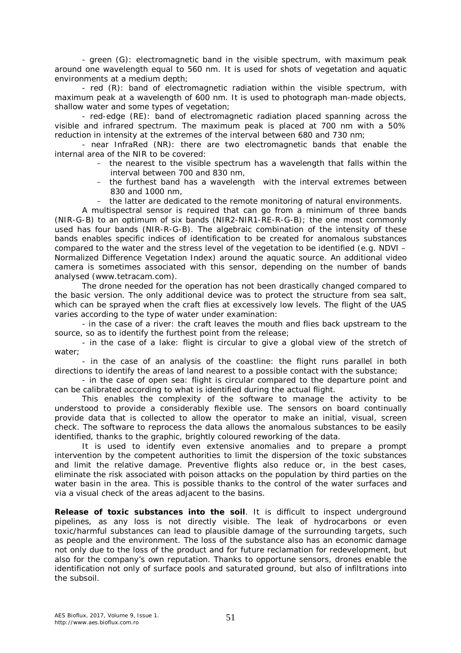- green (G): electromagnetic band in the visible spectrum, with maximum peak around one wavelength equal to 560 nm. It is used for shots of vegetation and aquatic environments at a medium depth;

- red (R): band of electromagnetic radiation within the visible spectrum, with maximum peak at a wavelength of 600 nm. It is used to photograph man-made objects, shallow water and some types of vegetation;

- red-edge (RE): band of electromagnetic radiation placed spanning across the visible and infrared spectrum. The maximum peak is placed at 700 nm with a 50% reduction in intensity at the extremes of the interval between 680 and 730 nm;

- near InfraRed (NR): there are two electromagnetic bands that enable the internal area of the NIR to be covered:

- the nearest to the visible spectrum has a wavelength that falls within the interval between 700 and 830 nm,
- the furthest band has a wavelength with the interval extremes between 830 and 1000 nm,
- the latter are dedicated to the remote monitoring of natural environments.

A multispectral sensor is required that can go from a minimum of three bands (NIR-G-B) to an optimum of six bands (NIR2-NIR1-RE-R-G-B); the one most commonly used has four bands (NIR-R-G-B). The algebraic combination of the intensity of these bands enables specific indices of identification to be created for anomalous substances compared to the water and the stress level of the vegetation to be identified (e.g. NDVI – Normalized Difference Vegetation Index) around the aquatic source. An additional video camera is sometimes associated with this sensor, depending on the number of bands analysed (www.tetracam.com).

The drone needed for the operation has not been drastically changed compared to the basic version. The only additional device was to protect the structure from sea salt, which can be sprayed when the craft flies at excessively low levels. The flight of the UAS varies according to the type of water under examination:

- in the case of a river: the craft leaves the mouth and flies back upstream to the source, so as to identify the furthest point from the release;

- in the case of a lake: flight is circular to give a global view of the stretch of water;

- in the case of an analysis of the coastline: the flight runs parallel in both directions to identify the areas of land nearest to a possible contact with the substance;

- in the case of open sea: flight is circular compared to the departure point and can be calibrated according to what is identified during the actual flight.

This enables the complexity of the software to manage the activity to be understood to provide a considerably flexible use. The sensors on board continually provide data that is collected to allow the operator to make an initial, visual, screen check. The software to reprocess the data allows the anomalous substances to be easily identified, thanks to the graphic, brightly coloured reworking of the data.

It is used to identify even extensive anomalies and to prepare a prompt intervention by the competent authorities to limit the dispersion of the toxic substances and limit the relative damage. Preventive flights also reduce or, in the best cases, eliminate the risk associated with poison attacks on the population by third parties on the water basin in the area. This is possible thanks to the control of the water surfaces and via a visual check of the areas adjacent to the basins.

*Release of toxic substances into the soil.* It is difficult to inspect underground pipelines, as any loss is not directly visible. The leak of hydrocarbons or even toxic/harmful substances can lead to plausible damage of the surrounding targets, such as people and the environment. The loss of the substance also has an economic damage not only due to the loss of the product and for future reclamation for redevelopment, but also for the company's own reputation. Thanks to opportune sensors, drones enable the identification not only of surface pools and saturated ground, but also of infiltrations into the subsoil.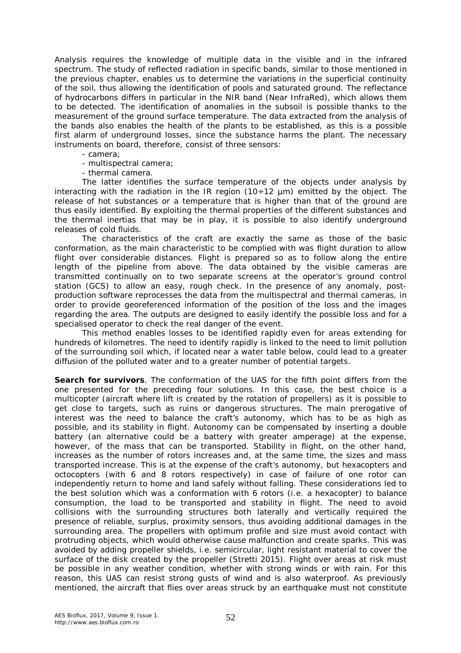Analysis requires the knowledge of multiple data in the visible and in the infrared spectrum. The study of reflected radiation in specific bands, similar to those mentioned in the previous chapter, enables us to determine the variations in the superficial continuity of the soil, thus allowing the identification of pools and saturated ground. The reflectance of hydrocarbons differs in particular in the NIR band (Near InfraRed), which allows them to be detected. The identification of anomalies in the subsoil is possible thanks to the measurement of the ground surface temperature. The data extracted from the analysis of the bands also enables the health of the plants to be established, as this is a possible first alarm of underground losses, since the substance harms the plant. The necessary instruments on board, therefore, consist of three sensors:

- camera;

- multispectral camera;

- thermal camera.

The latter identifies the surface temperature of the objects under analysis by interacting with the radiation in the IR region  $(10 \div 12 \mu m)$  emitted by the object. The release of hot substances or a temperature that is higher than that of the ground are thus easily identified. By exploiting the thermal properties of the different substances and the thermal inertias that may be in play, it is possible to also identify underground releases of cold fluids.

The characteristics of the craft are exactly the same as those of the basic conformation, as the main characteristic to be complied with was flight duration to allow flight over considerable distances. Flight is prepared so as to follow along the entire length of the pipeline from above. The data obtained by the visible cameras are transmitted continually on to two separate screens at the operator's ground control station (GCS) to allow an easy, rough check. In the presence of any anomaly, postproduction software reprocesses the data from the multispectral and thermal cameras, in order to provide georeferenced information of the position of the loss and the images regarding the area. The outputs are designed to easily identify the possible loss and for a specialised operator to check the real danger of the event.

This method enables losses to be identified rapidly even for areas extending for hundreds of kilometres. The need to identify rapidly is linked to the need to limit pollution of the surrounding soil which, if located near a water table below, could lead to a greater diffusion of the polluted water and to a greater number of potential targets.

*Search for survivors.* The conformation of the UAS for the fifth point differs from the one presented for the preceding four solutions. In this case, the best choice is a multicopter (aircraft where lift is created by the rotation of propellers) as it is possible to get close to targets, such as ruins or dangerous structures. The main prerogative of interest was the need to balance the craft's autonomy, which has to be as high as possible, and its stability in flight. Autonomy can be compensated by inserting a double battery (an alternative could be a battery with greater amperage) at the expense, however, of the mass that can be transported. Stability in flight, on the other hand, increases as the number of rotors increases and, at the same time, the sizes and mass transported increase. This is at the expense of the craft's autonomy, but hexacopters and octocopters (with 6 and 8 rotors respectively) in case of failure of one rotor can independently return to home and land safely without falling. These considerations led to the best solution which was a conformation with 6 rotors (i.e. a hexacopter) to balance consumption, the load to be transported and stability in flight. The need to avoid collisions with the surrounding structures both laterally and vertically required the presence of reliable, surplus, proximity sensors, thus avoiding additional damages in the surrounding area. The propellers with optimum profile and size must avoid contact with protruding objects, which would otherwise cause malfunction and create sparks. This was avoided by adding propeller shields, i.e. semicircular, light resistant material to cover the surface of the disk created by the propeller (Stretti 2015). Flight over areas at risk must be possible in any weather condition, whether with strong winds or with rain. For this reason, this UAS can resist strong gusts of wind and is also waterproof. As previously mentioned, the aircraft that flies over areas struck by an earthquake must not constitute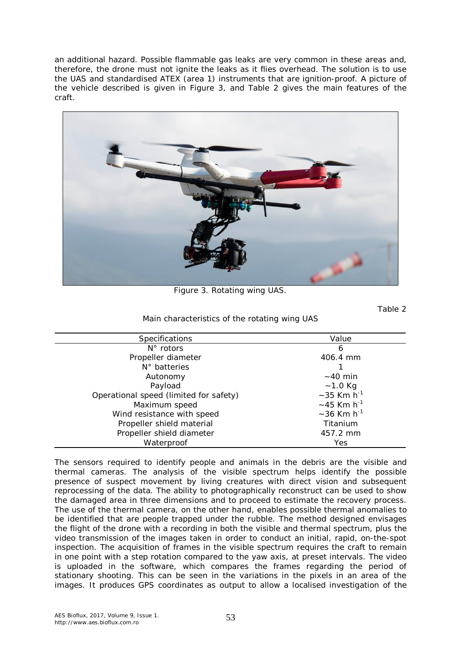an additional hazard. Possible flammable gas leaks are very common in these areas and, therefore, the drone must not ignite the leaks as it flies overhead. The solution is to use the UAS and standardised ATEX (area 1) instruments that are ignition-proof. A picture of the vehicle described is given in Figure 3, and Table 2 gives the main features of the craft.



Figure 3. Rotating wing UAS.

Table 2

Main characteristics of the rotating wing UAS

| <b>Specifications</b>                  | Value                        |
|----------------------------------------|------------------------------|
| $N^{\circ}$ rotors                     | 6                            |
| Propeller diameter                     | 406.4 mm                     |
| $N^{\circ}$ batteries                  |                              |
| Autonomy                               | $\sim$ 40 min                |
| Payload                                | $~1.0$ Kg                    |
| Operational speed (limited for safety) | $\sim$ 35 Km h <sup>-1</sup> |
| Maximum speed                          | $\sim$ 45 Km h <sup>-1</sup> |
| Wind resistance with speed             | $\sim$ 36 Km h <sup>-1</sup> |
| Propeller shield material              | Titanium                     |
| Propeller shield diameter              | 457.2 mm                     |
| Waterproof                             | Yes                          |
|                                        |                              |

The sensors required to identify people and animals in the debris are the visible and thermal cameras. The analysis of the visible spectrum helps identify the possible presence of suspect movement by living creatures with direct vision and subsequent reprocessing of the data. The ability to photographically reconstruct can be used to show the damaged area in three dimensions and to proceed to estimate the recovery process. The use of the thermal camera, on the other hand, enables possible thermal anomalies to be identified that are people trapped under the rubble. The method designed envisages the flight of the drone with a recording in both the visible and thermal spectrum, plus the video transmission of the images taken in order to conduct an initial, rapid, on-the-spot inspection. The acquisition of frames in the visible spectrum requires the craft to remain in one point with a step rotation compared to the yaw axis, at preset intervals. The video is uploaded in the software, which compares the frames regarding the period of stationary shooting. This can be seen in the variations in the pixels in an area of the images. It produces GPS coordinates as output to allow a localised investigation of the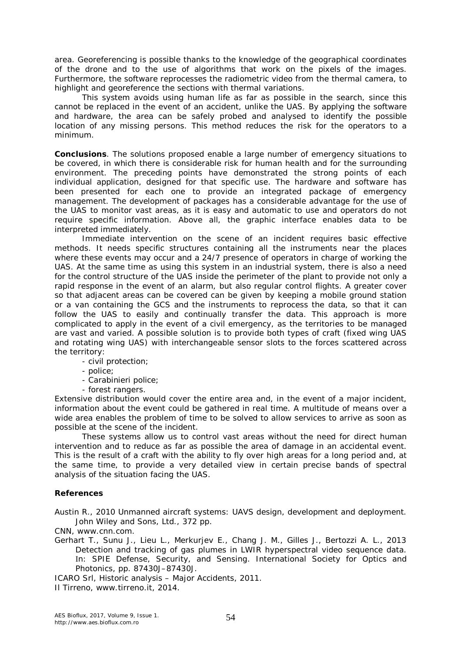area. Georeferencing is possible thanks to the knowledge of the geographical coordinates of the drone and to the use of algorithms that work on the pixels of the images. Furthermore, the software reprocesses the radiometric video from the thermal camera, to highlight and georeference the sections with thermal variations.

This system avoids using human life as far as possible in the search, since this cannot be replaced in the event of an accident, unlike the UAS. By applying the software and hardware, the area can be safely probed and analysed to identify the possible location of any missing persons. This method reduces the risk for the operators to a minimum.

**Conclusions**. The solutions proposed enable a large number of emergency situations to be covered, in which there is considerable risk for human health and for the surrounding environment. The preceding points have demonstrated the strong points of each individual application, designed for that specific use. The hardware and software has been presented for each one to provide an integrated package of emergency management. The development of packages has a considerable advantage for the use of the UAS to monitor vast areas, as it is easy and automatic to use and operators do not require specific information. Above all, the graphic interface enables data to be interpreted immediately.

Immediate intervention on the scene of an incident requires basic effective methods. It needs specific structures containing all the instruments near the places where these events may occur and a 24/7 presence of operators in charge of working the UAS. At the same time as using this system in an industrial system, there is also a need for the control structure of the UAS inside the perimeter of the plant to provide not only a rapid response in the event of an alarm, but also regular control flights. A greater cover so that adjacent areas can be covered can be given by keeping a mobile ground station or a van containing the GCS and the instruments to reprocess the data, so that it can follow the UAS to easily and continually transfer the data. This approach is more complicated to apply in the event of a civil emergency, as the territories to be managed are vast and varied. A possible solution is to provide both types of craft (fixed wing UAS and rotating wing UAS) with interchangeable sensor slots to the forces scattered across the territory:

- civil protection;
- police;
- Carabinieri police;
- forest rangers.

Extensive distribution would cover the entire area and, in the event of a major incident, information about the event could be gathered in real time. A multitude of means over a wide area enables the problem of time to be solved to allow services to arrive as soon as possible at the scene of the incident.

These systems allow us to control vast areas without the need for direct human intervention and to reduce as far as possible the area of damage in an accidental event. This is the result of a craft with the ability to fly over high areas for a long period and, at the same time, to provide a very detailed view in certain precise bands of spectral analysis of the situation facing the UAS.

## **References**

Austin R., 2010 Unmanned aircraft systems: UAVS design, development and deployment. John Wiley and Sons, Ltd., 372 pp.

CNN, www.cnn.com.

Gerhart T., Sunu J., Lieu L., Merkurjev E., Chang J. M., Gilles J., Bertozzi A. L., 2013 Detection and tracking of gas plumes in LWIR hyperspectral video sequence data. In: SPIE Defense, Security, and Sensing. International Society for Optics and Photonics, pp. 87430J–87430J.

ICARO Srl, Historic analysis – Major Accidents, 2011.

Il Tirreno, www.tirreno.it, 2014.